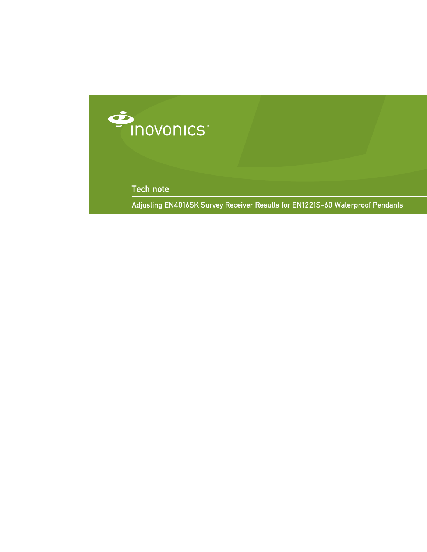

Tech note

Adjusting EN4016SK Survey Receiver Results for EN1221S-60 Waterproof Pendants